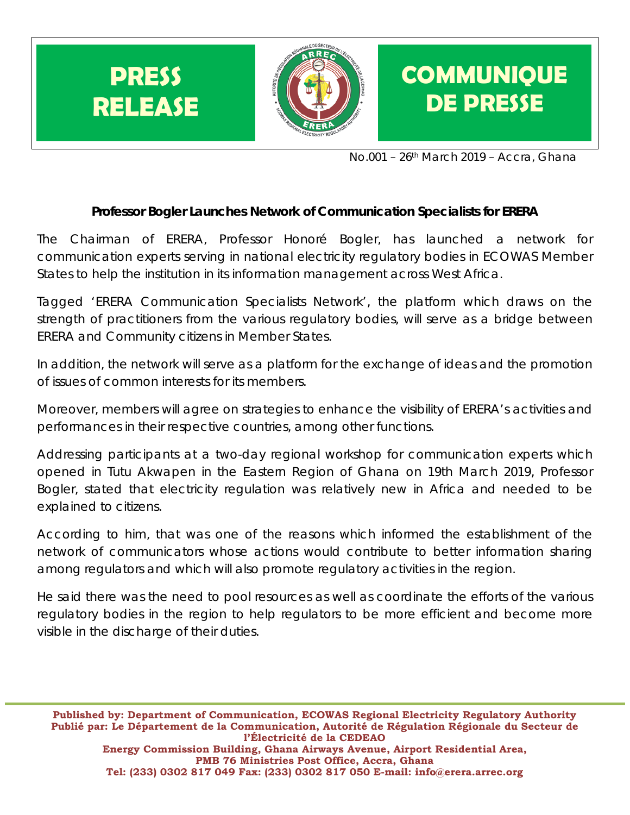

No.001 – 26th March 2019 – Accra, Ghana

## **Professor Bogler Launches Network of Communication Specialists for ERERA**

The Chairman of ERERA, Professor Honoré Bogler, has launched a network for communication experts serving in national electricity regulatory bodies in ECOWAS Member States to help the institution in its information management across West Africa.

Tagged 'ERERA Communication Specialists Network', the platform which draws on the strength of practitioners from the various regulatory bodies, will serve as a bridge between ERERA and Community citizens in Member States.

In addition, the network will serve as a platform for the exchange of ideas and the promotion of issues of common interests for its members.

Moreover, members will agree on strategies to enhance the visibility of ERERA's activities and performances in their respective countries, among other functions.

Addressing participants at a two-day regional workshop for communication experts which opened in Tutu Akwapen in the Eastern Region of Ghana on 19th March 2019, Professor Bogler, stated that electricity regulation was relatively new in Africa and needed to be explained to citizens.

According to him, that was one of the reasons which informed the establishment of the network of communicators whose actions would contribute to better information sharing among regulators and which will also promote regulatory activities in the region.

He said there was the need to pool resources as well as coordinate the efforts of the various regulatory bodies in the region to help regulators to be more efficient and become more visible in the discharge of their duties.

**Published by: Department of Communication, ECOWAS Regional Electricity Regulatory Authority Publié par: Le Département de la Communication, Autorité de Régulation Régionale du Secteur de l'Électricité de la CEDEAO Energy Commission Building, Ghana Airways Avenue, Airport Residential Area, PMB 76 Ministries Post Office, Accra, Ghana Tel: (233) 0302 817 049 Fax: (233) 0302 817 050 E-mail: info@erera.arrec.org**